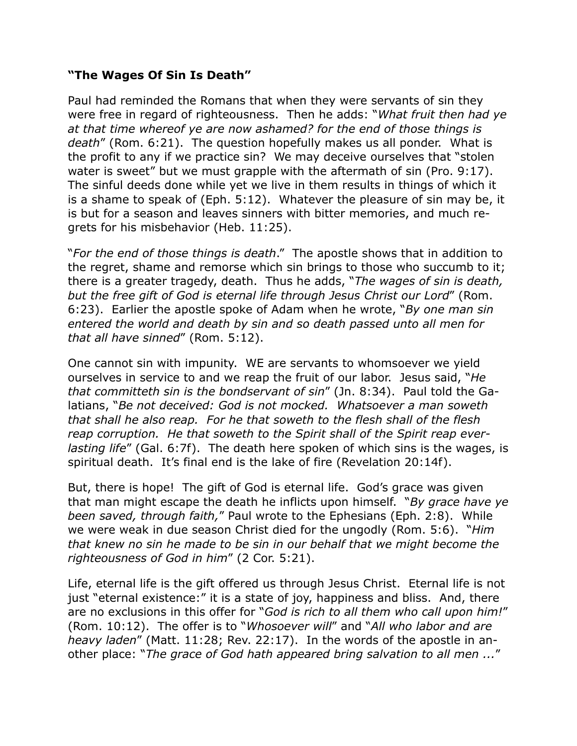## **"The Wages Of Sin Is Death"**

Paul had reminded the Romans that when they were servants of sin they were free in regard of righteousness. Then he adds: "*What fruit then had ye at that time whereof ye are now ashamed? for the end of those things is death*" (Rom. 6:21). The question hopefully makes us all ponder. What is the profit to any if we practice sin? We may deceive ourselves that "stolen water is sweet" but we must grapple with the aftermath of sin (Pro. 9:17). The sinful deeds done while yet we live in them results in things of which it is a shame to speak of (Eph. 5:12). Whatever the pleasure of sin may be, it is but for a season and leaves sinners with bitter memories, and much regrets for his misbehavior (Heb. 11:25).

"*For the end of those things is death*." The apostle shows that in addition to the regret, shame and remorse which sin brings to those who succumb to it; there is a greater tragedy, death. Thus he adds, "*The wages of sin is death, but the free gift of God is eternal life through Jesus Christ our Lord*" (Rom. 6:23). Earlier the apostle spoke of Adam when he wrote, "*By one man sin entered the world and death by sin and so death passed unto all men for that all have sinned*" (Rom. 5:12).

One cannot sin with impunity. WE are servants to whomsoever we yield ourselves in service to and we reap the fruit of our labor. Jesus said, "*He that committeth sin is the bondservant of sin*" (Jn. 8:34). Paul told the Galatians, "*Be not deceived: God is not mocked. Whatsoever a man soweth that shall he also reap. For he that soweth to the flesh shall of the flesh reap corruption. He that soweth to the Spirit shall of the Spirit reap everlasting life*" (Gal. 6:7f). The death here spoken of which sins is the wages, is spiritual death. It's final end is the lake of fire (Revelation 20:14f).

But, there is hope! The gift of God is eternal life. God's grace was given that man might escape the death he inflicts upon himself. "*By grace have ye been saved, through faith,*" Paul wrote to the Ephesians (Eph. 2:8). While we were weak in due season Christ died for the ungodly (Rom. 5:6). "*Him that knew no sin he made to be sin in our behalf that we might become the righteousness of God in him*" (2 Cor. 5:21).

Life, eternal life is the gift offered us through Jesus Christ. Eternal life is not just "eternal existence:" it is a state of joy, happiness and bliss. And, there are no exclusions in this offer for "*God is rich to all them who call upon him!*" (Rom. 10:12). The offer is to "*Whosoever will*" and "*All who labor and are heavy laden*" (Matt. 11:28; Rev. 22:17). In the words of the apostle in another place: "*The grace of God hath appeared bring salvation to all men ...*"